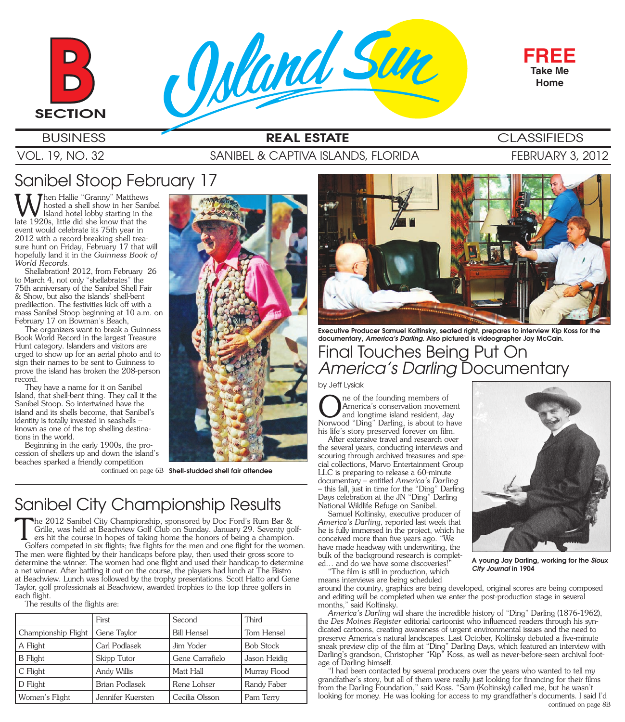



## **BUSINESS REAL ESTATE** CLASSIFIEDS

#### VOL. 19, NO. 32 SANIBEL & CAPTIVA ISLANDS, FLORIDA FEBRUARY 3, 2012

# Sanibel Stoop February 17

When Hallie "Granny" Matthews<br>Island hotel lobby starting in the<br>late 1920s, little did she know that the hosted a shell show in her Sanibel Island hotel lobby starting in the late 1920s, little did she know that the event would celebrate its 75th year in 2012 with a record-breaking shell treasure hunt on Friday, February 17 that will hopefully land it in the *Guinness Book of World Records.*

Shellabration! 2012, from February 26 to March 4, not only "shellabrates" the 75th anniversary of the Sanibel Shell Fair & Show, but also the islands' shell-bent predilection. The festivities kick off with a mass Sanibel Stoop beginning at 10 a.m. on February 17 on Bowman's Beach,

The organizers want to break a Guinness Book World Record in the largest Treasure Hunt category. Islanders and visitors are urged to show up for an aerial photo and to sign their names to be sent to Guinness to prove the island has broken the 208-person record.

They have a name for it on Sanibel Island, that shell-bent thing. They call it the Sanibel Stoop. So intertwined have the island and its shells become, that Sanibel's identity is totally invested in seashells known as one of the top shelling destinations in the world.

Beginning in the early 1900s, the procession of shellers up and down the island's beaches sparked a friendly competition

continued on page 6B **Shell-studded shell fair attendee**

# Sanibel City Championship Results

The 2012 Sanibel City Championship, sponsored by Doc Ford's Rum Bar & Grille, was held at Beachview Golf Club on Sunday, January 29. Seventy go ers hit the course in hopes of taking home the honors of being a champion.<br>Gol Grille, was held at Beachview Golf Club on Sunday, January 29. Seventy golfers hit the course in hopes of taking home the honors of being a champion. Golfers competed in six flights; five flights for the men and one flight for the women. The men were flighted by their handicaps before play, then used their gross score to determine the winner. The women had one flight and used their handicap to determine a net winner. After battling it out on the course, the players had lunch at The Bistro at Beachview. Lunch was followed by the trophy presentations. Scott Hatto and Gene Taylor, golf professionals at Beachview, awarded trophies to the top three golfers in each flight.

The results of the flights are:

|                     | First                 | Second             | Third            |
|---------------------|-----------------------|--------------------|------------------|
| Championship Flight | Gene Taylor           | <b>Bill Hensel</b> | Tom Hensel       |
| A Flight            | Carl Podlasek         | Jim Yoder          | <b>Bob Stock</b> |
| <b>B</b> Flight     | Skipp Tutor           | Gene Carrafielo    | Jason Heidig     |
| C Flight            | Andy Willis           | Matt Hall          | Murray Flood     |
| D Flight            | <b>Brian Podlasek</b> | Rene Lohser        | Randy Faber      |
| Women's Flight      | Jennifer Kuersten     | Cecilia Olsson     | Pam Terry        |



Final Touches Being Put On *America's Darling* Documentary **Executive Producer Samuel Koltinsky, seated right, prepares to interview Kip Koss for the documentary,** *America's Darling***. Also pictured is videographer Jay McCain.** 

#### by Jeff Lysiak

**ORET STAND THE STAND THE STAND STANDARY STANDARY STANDARY STANDARY STANDARY STANDARY STANDARY STANDARY STANDARY STANDARY STANDARY STANDARY STANDARY STANDARY STANDARY STANDARY STANDARY STANDARY STANDARY STANDARY STANDARY S** America's conservation movement Norwood "Ding" Darling, is about to have his life's story preserved forever on film.

After extensive travel and research over the several years, conducting interviews and scouring through archived treasures and special collections, Marvo Entertainment Group LLC is preparing to release a 60-minute documentary – entitled *America's Darling* – this fall, just in time for the "Ding" Darling Days celebration at the JN "Ding" Darling National Wildlife Refuge on Sanibel.

Samuel Koltinsky, executive producer of *America's Darling*, reported last week that he is fully immersed in the project, which he conceived more than five years ago. "We have made headway with underwriting, the bulk of the background research is completed... and do we have some discoveries!

The film is still in production, which means interviews are being scheduled

around the country, graphics are being developed, original scores are being composed and editing will be completed when we enter the post-production stage in several months," said Koltinsky.

*America's Darling* will share the incredible history of "Ding" Darling (1876-1962), the *Des Moines Register* editorial cartoonist who influenced readers through his syndicated cartoons, creating awareness of urgent environmental issues and the need to preserve America's natural landscapes. Last October, Koltinsky debuted a five-minute sneak preview clip of the film at "Ding" Darling Days, which featured an interview with Darling's grandson, Christopher "Kip" Koss, as well as never-before-seen archival footage of Darling himself.

"I had been contacted by several producers over the years who wanted to tell my grandfather's story, but all of them were really just looking for financing for their films from the Darling Foundation," said Koss. "Sam (Koltinsky) called me, but he wasn't looking for money. He was looking for access to my grandfather's documents. I said I'd continued on page 8B



**A young Jay Darling, working for the** *Sioux City Journal* **in 1904**